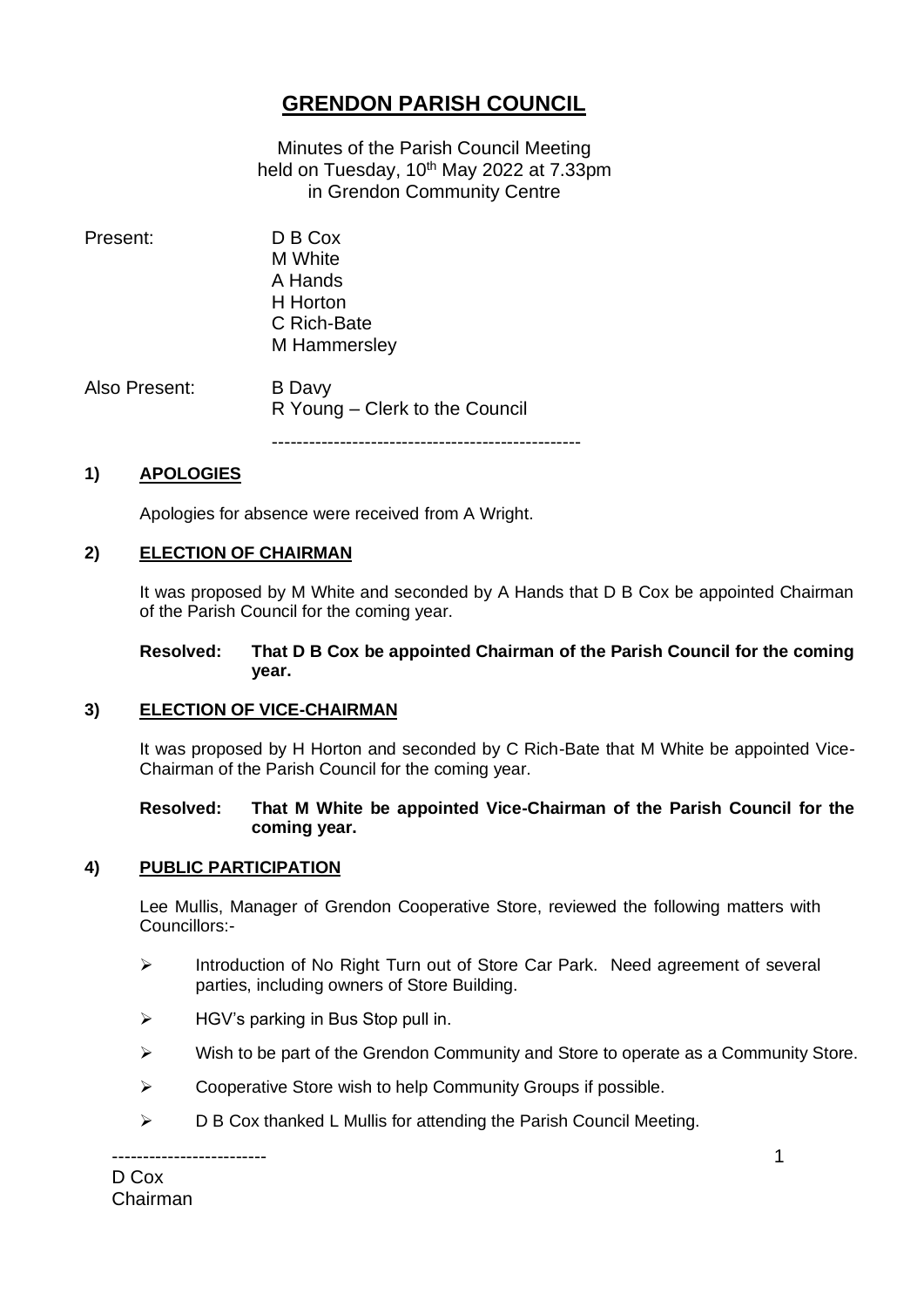# **GRENDON PARISH COUNCIL**

Minutes of the Parish Council Meeting held on Tuesday, 10<sup>th</sup> May 2022 at 7.33pm in Grendon Community Centre

Present: D B Cox M White A Hands H Horton C Rich-Bate M Hammersley Also Present: B Davy R Young – Clerk to the Council

--------------------------------------------------

# **1) APOLOGIES**

Apologies for absence were received from A Wright.

# **2) ELECTION OF CHAIRMAN**

It was proposed by M White and seconded by A Hands that D B Cox be appointed Chairman of the Parish Council for the coming year.

#### **Resolved: That D B Cox be appointed Chairman of the Parish Council for the coming year.**

#### **3) ELECTION OF VICE-CHAIRMAN**

It was proposed by H Horton and seconded by C Rich-Bate that M White be appointed Vice-Chairman of the Parish Council for the coming year.

#### **Resolved: That M White be appointed Vice-Chairman of the Parish Council for the coming year.**

#### **4) PUBLIC PARTICIPATION**

Lee Mullis, Manager of Grendon Cooperative Store, reviewed the following matters with Councillors:-

- ➢ Introduction of No Right Turn out of Store Car Park. Need agreement of several parties, including owners of Store Building.
- $\triangleright$  HGV's parking in Bus Stop pull in.
- ➢ Wish to be part of the Grendon Community and Store to operate as a Community Store.
- ➢ Cooperative Store wish to help Community Groups if possible.
- ➢ D B Cox thanked L Mullis for attending the Parish Council Meeting.

------------------------- D Cox Chairman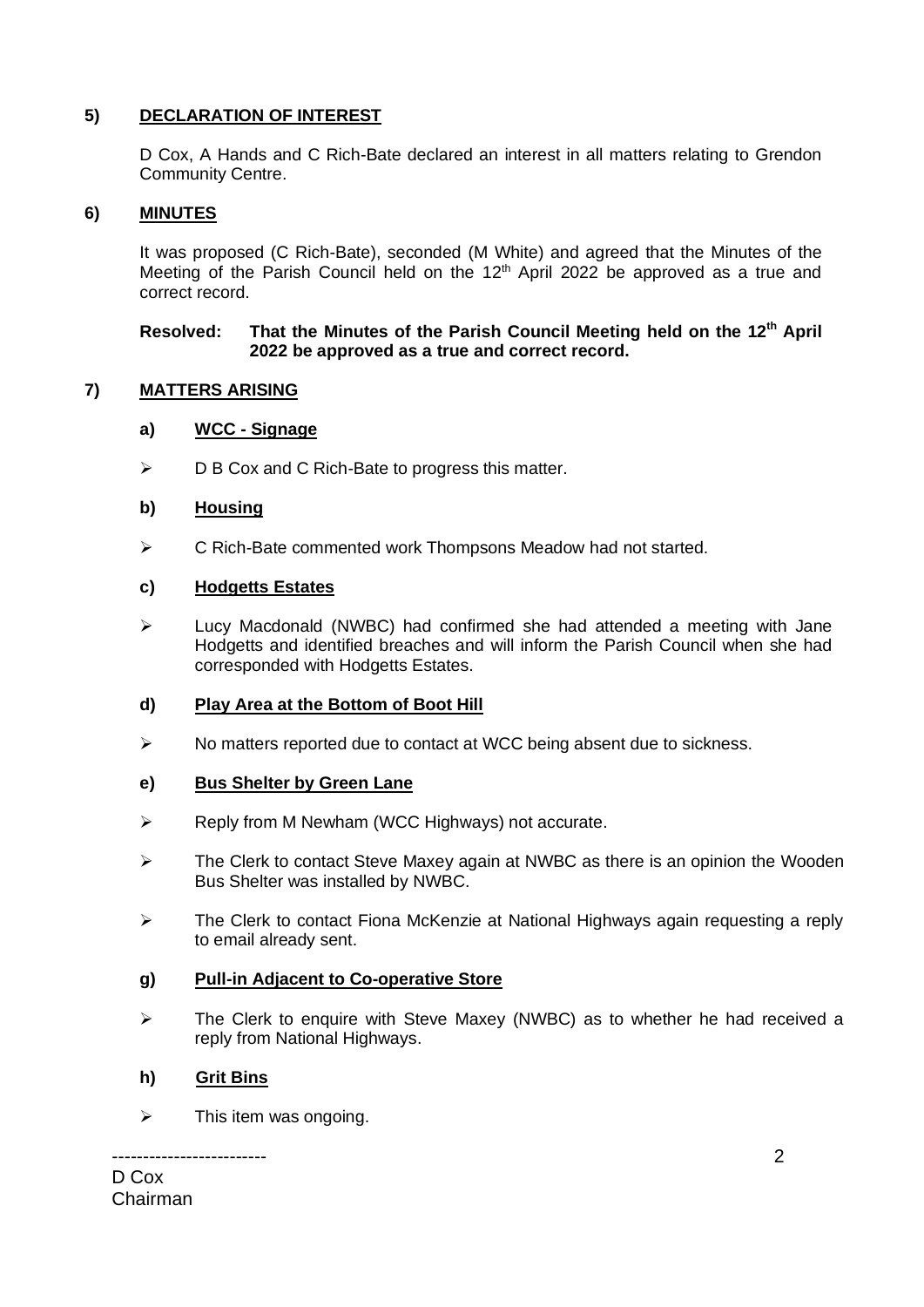# **5) DECLARATION OF INTEREST**

D Cox, A Hands and C Rich-Bate declared an interest in all matters relating to Grendon Community Centre.

# **6) MINUTES**

It was proposed (C Rich-Bate), seconded (M White) and agreed that the Minutes of the Meeting of the Parish Council held on the 12<sup>th</sup> April 2022 be approved as a true and correct record.

#### **Resolved: That the Minutes of the Parish Council Meeting held on the 12th April 2022 be approved as a true and correct record.**

# **7) MATTERS ARISING**

#### **a) WCC - Signage**

➢ D B Cox and C Rich-Bate to progress this matter.

#### **b) Housing**

➢ C Rich-Bate commented work Thompsons Meadow had not started.

#### **c) Hodgetts Estates**

➢ Lucy Macdonald (NWBC) had confirmed she had attended a meeting with Jane Hodgetts and identified breaches and will inform the Parish Council when she had corresponded with Hodgetts Estates.

#### **d) Play Area at the Bottom of Boot Hill**

➢ No matters reported due to contact at WCC being absent due to sickness.

#### **e) Bus Shelter by Green Lane**

- ➢ Reply from M Newham (WCC Highways) not accurate.
- ➢ The Clerk to contact Steve Maxey again at NWBC as there is an opinion the Wooden Bus Shelter was installed by NWBC.
- ➢ The Clerk to contact Fiona McKenzie at National Highways again requesting a reply to email already sent.

#### **g) Pull-in Adjacent to Co-operative Store**

➢ The Clerk to enquire with Steve Maxey (NWBC) as to whether he had received a reply from National Highways.

#### **h) Grit Bins**

 $\triangleright$  This item was ongoing.

------------------------- D Cox Chairman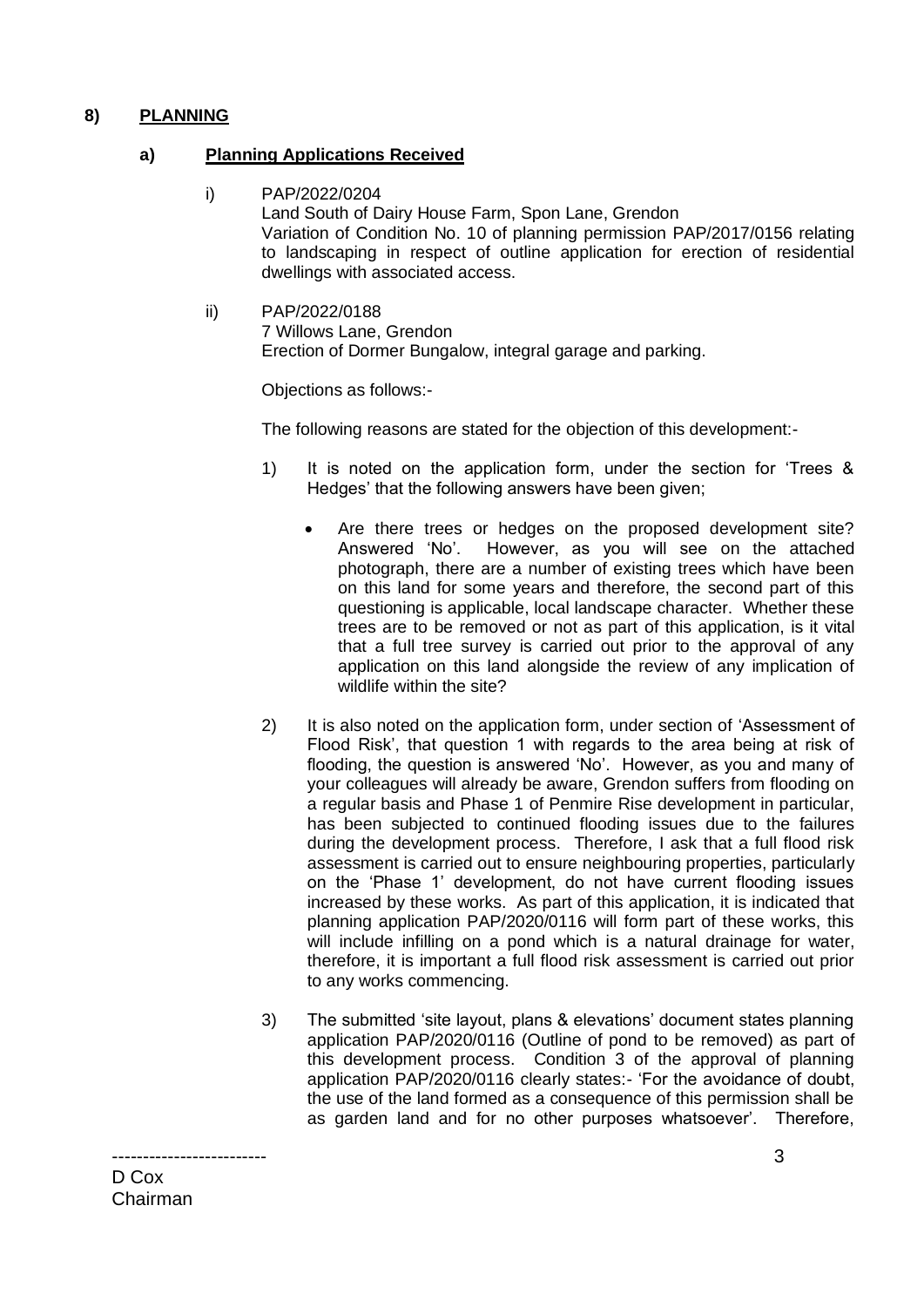# **8) PLANNING**

#### **a) Planning Applications Received**

- i) PAP/2022/0204 Land South of Dairy House Farm, Spon Lane, Grendon Variation of Condition No. 10 of planning permission PAP/2017/0156 relating to landscaping in respect of outline application for erection of residential dwellings with associated access.
- ii) PAP/2022/0188 7 Willows Lane, Grendon Erection of Dormer Bungalow, integral garage and parking.

Objections as follows:-

The following reasons are stated for the objection of this development:-

- 1) It is noted on the application form, under the section for 'Trees & Hedges' that the following answers have been given;
	- Are there trees or hedges on the proposed development site? Answered 'No'. However, as you will see on the attached photograph, there are a number of existing trees which have been on this land for some years and therefore, the second part of this questioning is applicable, local landscape character. Whether these trees are to be removed or not as part of this application, is it vital that a full tree survey is carried out prior to the approval of any application on this land alongside the review of any implication of wildlife within the site?
- 2) It is also noted on the application form, under section of 'Assessment of Flood Risk', that question 1 with regards to the area being at risk of flooding, the question is answered 'No'. However, as you and many of your colleagues will already be aware, Grendon suffers from flooding on a regular basis and Phase 1 of Penmire Rise development in particular, has been subjected to continued flooding issues due to the failures during the development process. Therefore, I ask that a full flood risk assessment is carried out to ensure neighbouring properties, particularly on the 'Phase 1' development, do not have current flooding issues increased by these works. As part of this application, it is indicated that planning application PAP/2020/0116 will form part of these works, this will include infilling on a pond which is a natural drainage for water, therefore, it is important a full flood risk assessment is carried out prior to any works commencing.
- 3) The submitted 'site layout, plans & elevations' document states planning application PAP/2020/0116 (Outline of pond to be removed) as part of this development process. Condition 3 of the approval of planning application PAP/2020/0116 clearly states:- 'For the avoidance of doubt, the use of the land formed as a consequence of this permission shall be as garden land and for no other purposes whatsoever'. Therefore,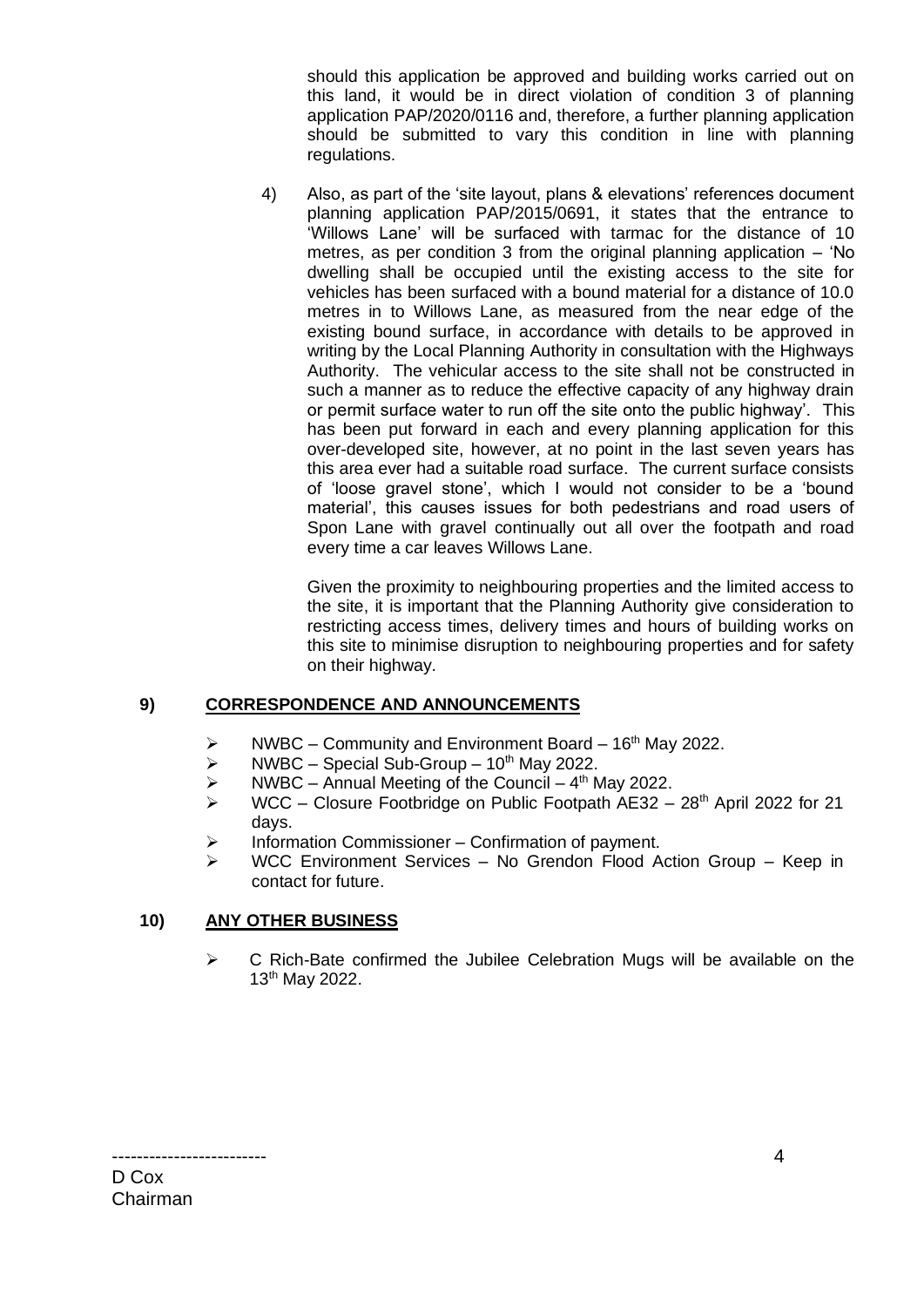should this application be approved and building works carried out on this land, it would be in direct violation of condition 3 of planning application PAP/2020/0116 and, therefore, a further planning application should be submitted to vary this condition in line with planning regulations.

4) Also, as part of the 'site layout, plans & elevations' references document planning application PAP/2015/0691, it states that the entrance to 'Willows Lane' will be surfaced with tarmac for the distance of 10 metres, as per condition 3 from the original planning application – 'No dwelling shall be occupied until the existing access to the site for vehicles has been surfaced with a bound material for a distance of 10.0 metres in to Willows Lane, as measured from the near edge of the existing bound surface, in accordance with details to be approved in writing by the Local Planning Authority in consultation with the Highways Authority. The vehicular access to the site shall not be constructed in such a manner as to reduce the effective capacity of any highway drain or permit surface water to run off the site onto the public highway'. This has been put forward in each and every planning application for this over-developed site, however, at no point in the last seven years has this area ever had a suitable road surface. The current surface consists of 'loose gravel stone', which I would not consider to be a 'bound material', this causes issues for both pedestrians and road users of Spon Lane with gravel continually out all over the footpath and road every time a car leaves Willows Lane.

Given the proximity to neighbouring properties and the limited access to the site, it is important that the Planning Authority give consideration to restricting access times, delivery times and hours of building works on this site to minimise disruption to neighbouring properties and for safety on their highway.

# **9) CORRESPONDENCE AND ANNOUNCEMENTS**

- $\triangleright$  NWBC Community and Environment Board 16<sup>th</sup> May 2022.
- $\triangleright$  NWBC Special Sub-Group 10<sup>th</sup> May 2022.
- $\triangleright$  NWBC Annual Meeting of the Council 4<sup>th</sup> May 2022.
- $\triangleright$  WCC Closure Footbridge on Public Footpath AE32 28<sup>th</sup> April 2022 for 21 days.
- ➢ Information Commissioner Confirmation of payment.
- ➢ WCC Environment Services No Grendon Flood Action Group Keep in contact for future.

#### **10) ANY OTHER BUSINESS**

 $\triangleright$  C Rich-Bate confirmed the Jubilee Celebration Mugs will be available on the 13th May 2022.

D Cox Chairman

-------------------------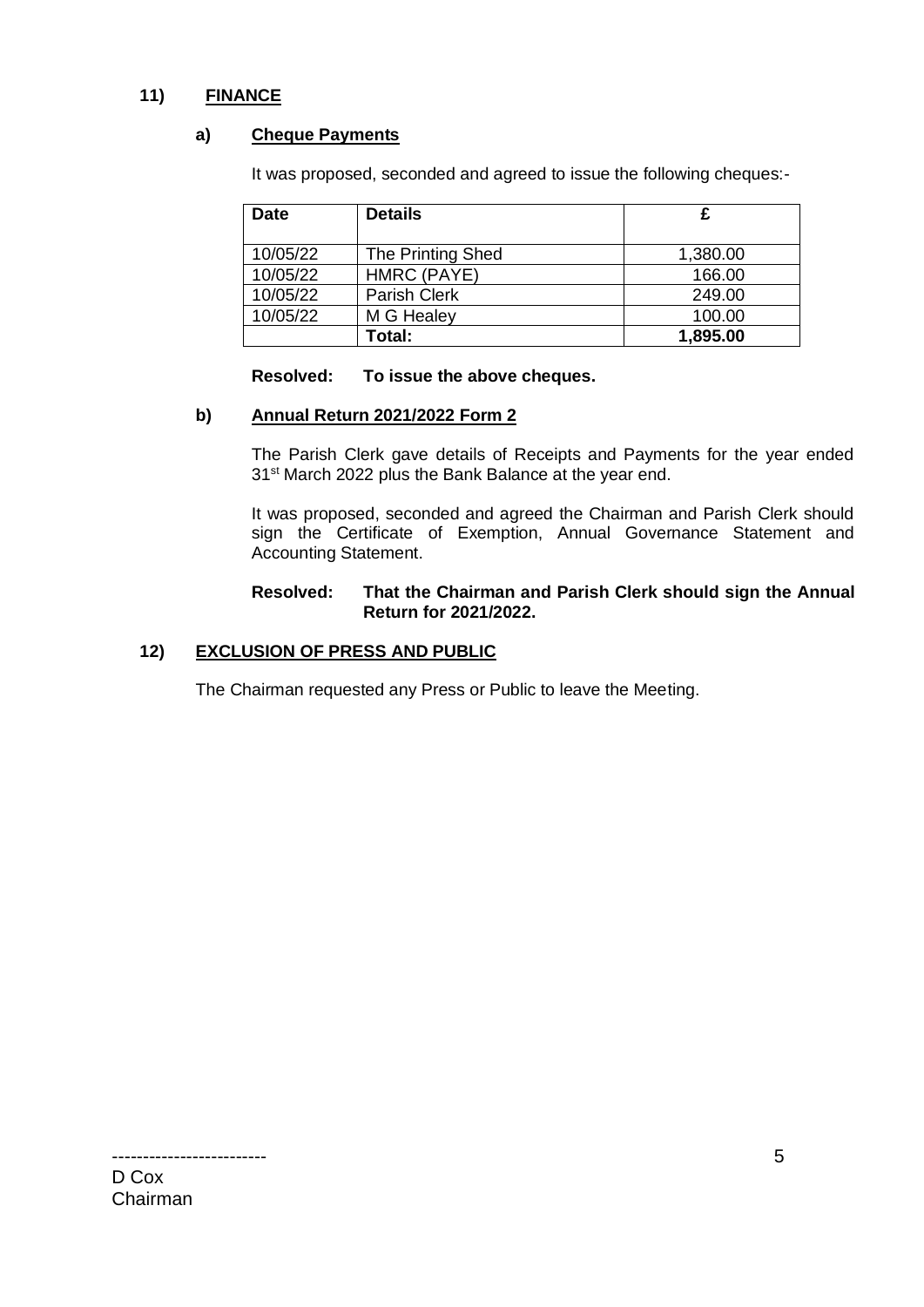# **11) FINANCE**

#### **a) Cheque Payments**

It was proposed, seconded and agreed to issue the following cheques:-

| <b>Date</b> | <b>Details</b>           | £        |
|-------------|--------------------------|----------|
|             |                          |          |
| 10/05/22    | <b>The Printing Shed</b> | 1,380.00 |
| 10/05/22    | HMRC (PAYE)              | 166.00   |
| 10/05/22    | Parish Clerk             | 249.00   |
| 10/05/22    | M G Healey               | 100.00   |
|             | Total:                   | 1,895.00 |

#### **Resolved: To issue the above cheques.**

#### **b) Annual Return 2021/2022 Form 2**

The Parish Clerk gave details of Receipts and Payments for the year ended 31<sup>st</sup> March 2022 plus the Bank Balance at the year end.

It was proposed, seconded and agreed the Chairman and Parish Clerk should sign the Certificate of Exemption, Annual Governance Statement and Accounting Statement.

#### **Resolved: That the Chairman and Parish Clerk should sign the Annual Return for 2021/2022.**

#### **12) EXCLUSION OF PRESS AND PUBLIC**

The Chairman requested any Press or Public to leave the Meeting.